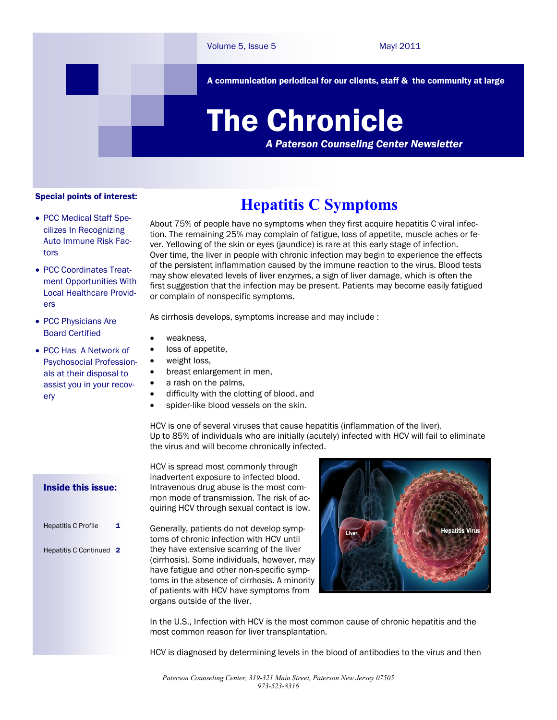A communication periodical for our clients, staff & the community at large

# The Chronicle

*A Paterson Counseling Center Newsletter*

## Special points of interest:

- PCC Medical Staff Specilizes In Recognizing Auto Immune Risk Factors
- PCC Coordinates Treatment Opportunities With Local Healthcare Providers

## • PCC Physicians Are Board Certified

 PCC Has A Network of Psychosocial Professionals at their disposal to assist you in your recovery

# **Hepatitis C Symptoms**

About 75% of people have no symptoms when they first acquire hepatitis C viral infection. The remaining 25% may complain of fatigue, loss of appetite, muscle aches or fever. Yellowing of the skin or eyes (jaundice) is rare at this early stage of infection. Over time, the liver in people with chronic infection may begin to experience the effects of the persistent inflammation caused by the immune reaction to the virus. Blood tests may show elevated levels of liver enzymes, a sign of liver damage, which is often the first suggestion that the infection may be present. Patients may become easily fatigued or complain of nonspecific symptoms.

As cirrhosis develops, symptoms increase and may include :

- weakness,
- loss of appetite,
- weight loss,
- breast enlargement in men,
- a rash on the palms,
- difficulty with the clotting of blood, and
- spider-like blood vessels on the skin.

HCV is one of several viruses that cause hepatitis (inflammation of the liver). Up to 85% of individuals who are initially (acutely) infected with HCV will fail to eliminate the virus and will become chronically infected.

HCV is spread most commonly through inadvertent exposure to infected blood. Intravenous drug abuse is the most common mode of transmission. The risk of acquiring HCV through sexual contact is low.

Generally, patients do not develop symptoms of chronic infection with HCV until they have extensive scarring of the liver (cirrhosis). Some individuals, however, may have fatigue and other non-specific symptoms in the absence of cirrhosis. A minority of patients with HCV have symptoms from organs outside of the liver.



In the U.S., Infection with HCV is the most common cause of chronic hepatitis and the most common reason for liver transplantation.

HCV is diagnosed by determining levels in the blood of antibodies to the virus and then

# Inside this issue:

Hepatitis C Profile 1 Hepatitis C Continued 2